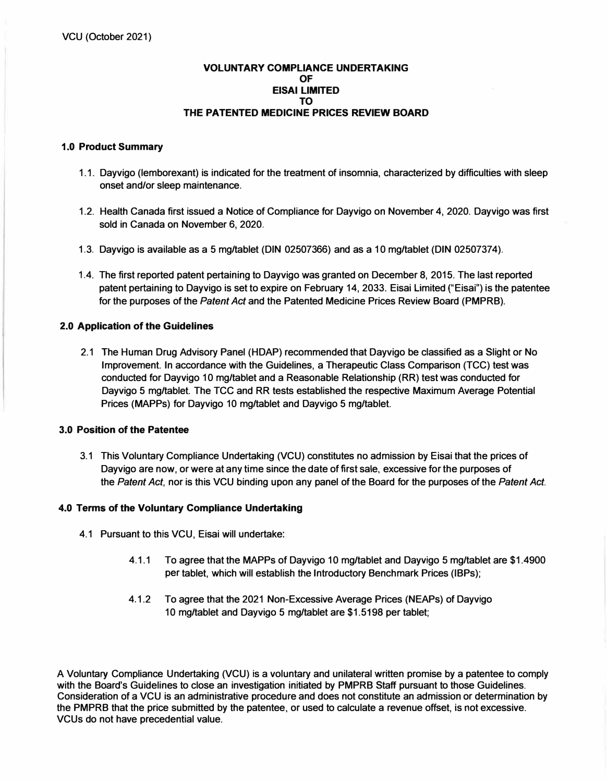### **VOLUNTARY COMPLIANCE UNDERTAKING OF EISAI LIMITED TO THE PATENTED MEDICINE PRICES REVIEW BOARD**

## **1.0 Product Summary**

- **1.1. Dayvigo (lemborexant) is indicated for the treatment of insomnia, characterized by difficulties with sleep onset and/or sleep maintenance.**
- **1.2. Health Canada first issued a Notice of Compliance for Dayvigo on November 4, 2020. Dayvigo was first sold in Canada on November 6, 2020.**
- **1.3. Dayvigo is available as a 5 mg/tablet (DIN 02507366) and as a 10 mg/tablet (DIN 02507374).**
- **1.4. The first reported patent pertaining to Dayvigo was granted on December 8, 2015. The last reported patent pertaining to Dayvigo is set to expire on February 14, 2033. Eisai Limited ("Eisai") is the patentee for the purposes of the** *Patent Act* **and the Patented Medicine Prices Review Board (PMPRB).**

## **2.0 Application of the Guidelines**

**2.1 The Human Drug Advisory Panel (HDAP) recommended that Oayvigo be classified as a Slight or No Improvement. In accordance with the Guidelines, a Therapeutic Class Comparison (TCC) test was conducted for Dayvigo 10 mg/tablet and a Reasonable Relationship (RR) test was conducted for Dayvigo 5 mg/tablet. The TCC and RR tests established the respective Maximum Average Potential Prices (MAPPs) for Dayvigo 10 mg/tablet and Dayvigo 5 mg/tablet.** 

#### **3.0 Position of the Patentee**

**3.1 This Voluntary Compliance Undertaking (VCU) constitutes no admission by Eisai that the prices of Dayvigo are now, or were at any time since the date of first sale, excessive for the purposes of the** *Patent Act,* **nor is this VCU binding upon any panel of the Board for the purposes of the** *Patent Act.* 

# **4.0 Terms of the Voluntary Compliance Undertaking**

- **4.1 Pursuant to this VCU, Eisai will undertake:** 
	- **4.1.1 To agree that the MAPPs of Dayvigo 10 mg/tablet and Dayvigo 5 mg/tablet are \$1.4900 per tablet, which will establish the Introductory Benchmark Prices (IBPs);**
	- **4.1.2 To agree that the 2021 Non-Excessive Average Prices (NEAPs) of Dayvigo 10 mg/tablet and Dayvigo 5 mg/tablet are \$1.5198 per tablet;**

**A Voluntary Compliance Undertaking (VCU) is a voluntary and unilateral written promise by a patentee to comply with the Board's Guidelines to close an investigation initiated by PMPRB Staff pursuant to those Guidelines. Consideration of a VCU is an administrative procedure and does not constitute an admission or determination by the PMPRB that the price submitted by the patentee, or used to calculate a revenue offset, is not excessive. VCUs do not have precedential value.**